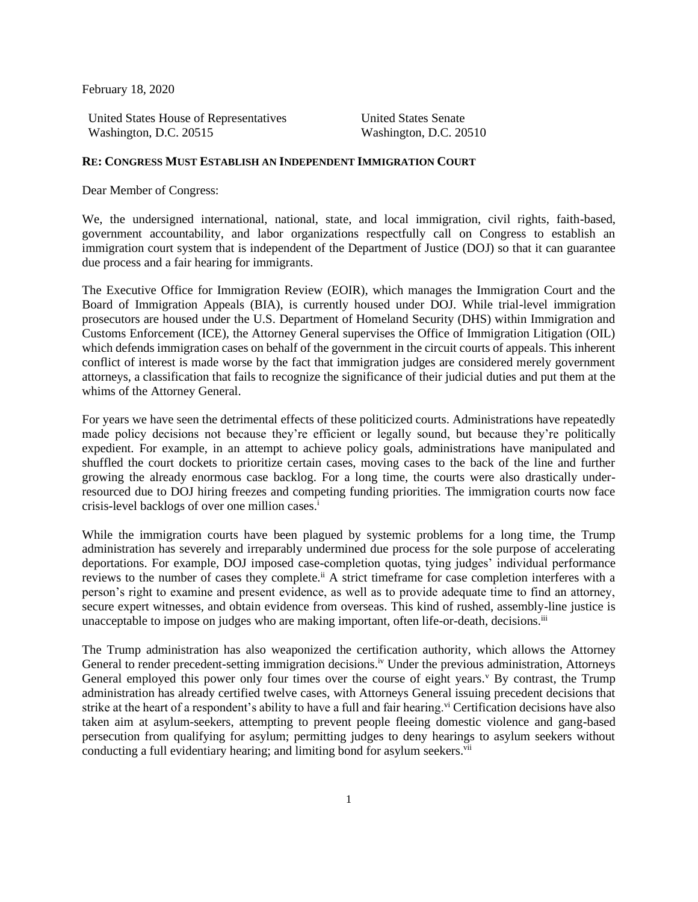February 18, 2020

United States House of Representatives Washington, D.C. 20515

United States Senate Washington, D.C. 20510

## **RE: CONGRESS MUST ESTABLISH AN INDEPENDENT IMMIGRATION COURT**

Dear Member of Congress:

We, the undersigned international, national, state, and local immigration, civil rights, faith-based, government accountability, and labor organizations respectfully call on Congress to establish an immigration court system that is independent of the Department of Justice (DOJ) so that it can guarantee due process and a fair hearing for immigrants.

The Executive Office for Immigration Review (EOIR), which manages the Immigration Court and the Board of Immigration Appeals (BIA), is currently housed under DOJ. While trial-level immigration prosecutors are housed under the U.S. Department of Homeland Security (DHS) within Immigration and Customs Enforcement (ICE), the Attorney General supervises the Office of Immigration Litigation (OIL) which defends immigration cases on behalf of the government in the circuit courts of appeals. This inherent conflict of interest is made worse by the fact that immigration judges are considered merely government attorneys, a classification that fails to recognize the significance of their judicial duties and put them at the whims of the Attorney General.

For years we have seen the detrimental effects of these politicized courts. Administrations have repeatedly made policy decisions not because they're efficient or legally sound, but because they're politically expedient. For example, in an attempt to achieve policy goals, administrations have manipulated and shuffled the court dockets to prioritize certain cases, moving cases to the back of the line and further growing the already enormous case backlog. For a long time, the courts were also drastically underresourced due to DOJ hiring freezes and competing funding priorities. The immigration courts now face crisis-level backlogs of over one million cases.<sup>i</sup>

While the immigration courts have been plagued by systemic problems for a long time, the Trump administration has severely and irreparably undermined due process for the sole purpose of accelerating deportations. For example, DOJ imposed case-completion quotas, tying judges' individual performance reviews to the number of cases they complete.<sup>ii</sup> A strict timeframe for case completion interferes with a person's right to examine and present evidence, as well as to provide adequate time to find an attorney, secure expert witnesses, and obtain evidence from overseas. This kind of rushed, assembly-line justice is unacceptable to impose on judges who are making important, often life-or-death, decisions.<sup>iii</sup>

The Trump administration has also weaponized the certification authority, which allows the Attorney General to render precedent-setting immigration decisions.<sup>iv</sup> Under the previous administration, Attorneys General employed this power only four times over the course of eight years.<sup> $v$ </sup> By contrast, the Trump administration has already certified twelve cases, with Attorneys General issuing precedent decisions that strike at the heart of a respondent's ability to have a full and fair hearing.<sup>vi</sup> Certification decisions have also taken aim at asylum-seekers, attempting to prevent people fleeing domestic violence and gang-based persecution from qualifying for asylum; permitting judges to deny hearings to asylum seekers without conducting a full evidentiary hearing; and limiting bond for asylum seekers.<sup>vii</sup>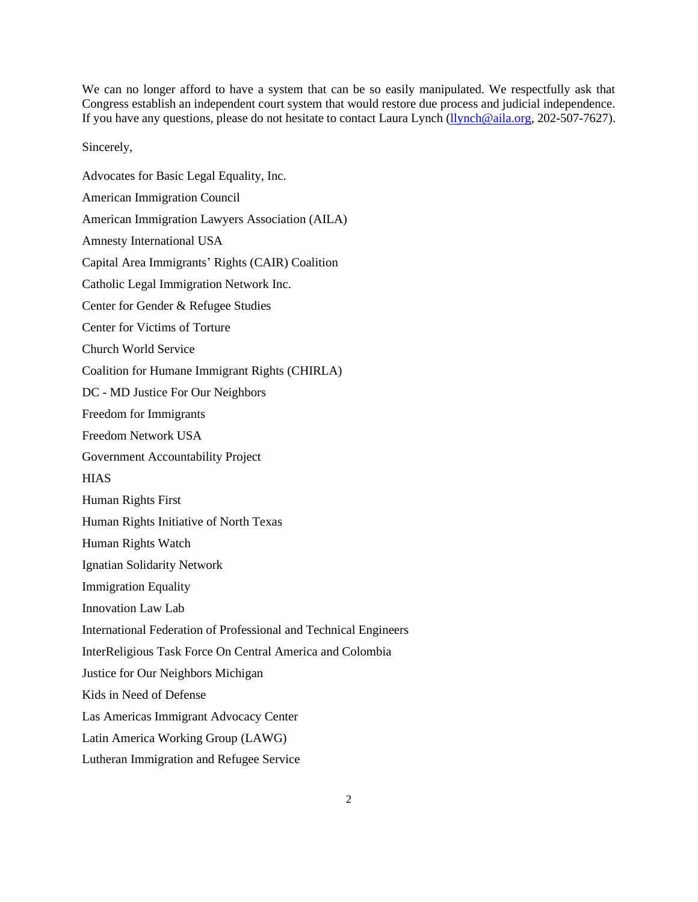We can no longer afford to have a system that can be so easily manipulated. We respectfully ask that Congress establish an independent court system that would restore due process and judicial independence. If you have any questions, please do not hesitate to contact Laura Lynch [\(llynch@aila.org,](mailto:llynch@aila.org) 202-507-7627).

Sincerely,

Advocates for Basic Legal Equality, Inc. American Immigration Council American Immigration Lawyers Association (AILA) Amnesty International USA Capital Area Immigrants' Rights (CAIR) Coalition Catholic Legal Immigration Network Inc. Center for Gender & Refugee Studies Center for Victims of Torture Church World Service Coalition for Humane Immigrant Rights (CHIRLA) DC - MD Justice For Our Neighbors Freedom for Immigrants Freedom Network USA Government Accountability Project **HIAS** Human Rights First Human Rights Initiative of North Texas Human Rights Watch Ignatian Solidarity Network Immigration Equality Innovation Law Lab International Federation of Professional and Technical Engineers InterReligious Task Force On Central America and Colombia Justice for Our Neighbors Michigan Kids in Need of Defense Las Americas Immigrant Advocacy Center Latin America Working Group (LAWG) Lutheran Immigration and Refugee Service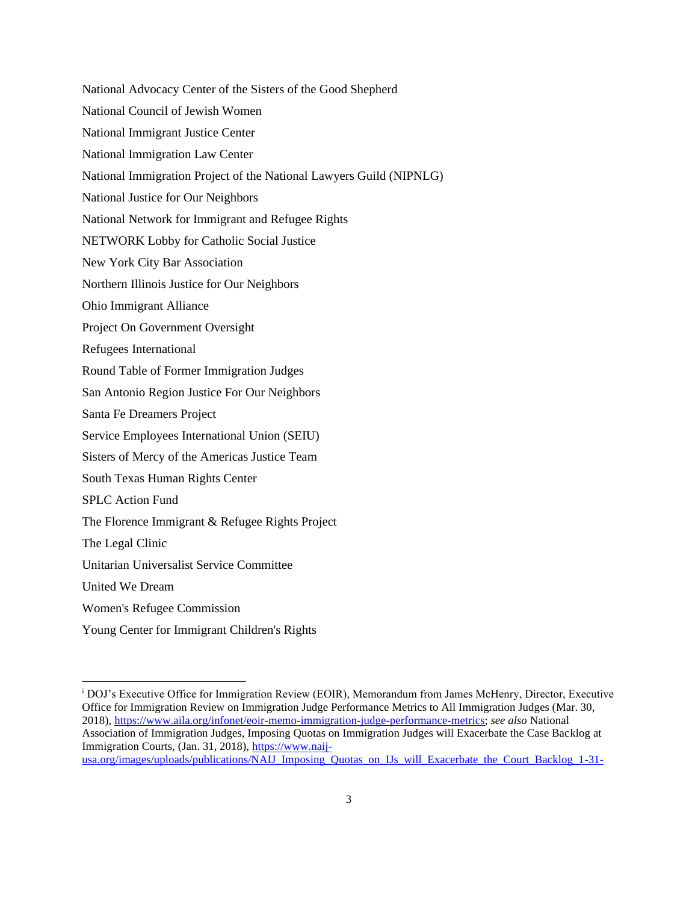National Advocacy Center of the Sisters of the Good Shepherd

- National Council of Jewish Women
- National Immigrant Justice Center
- National Immigration Law Center
- National Immigration Project of the National Lawyers Guild (NIPNLG)
- National Justice for Our Neighbors
- National Network for Immigrant and Refugee Rights
- NETWORK Lobby for Catholic Social Justice
- New York City Bar Association
- Northern Illinois Justice for Our Neighbors
- Ohio Immigrant Alliance
- Project On Government Oversight
- Refugees International
- Round Table of Former Immigration Judges
- San Antonio Region Justice For Our Neighbors
- Santa Fe Dreamers Project
- Service Employees International Union (SEIU)
- Sisters of Mercy of the Americas Justice Team
- South Texas Human Rights Center
- SPLC Action Fund
- The Florence Immigrant & Refugee Rights Project
- The Legal Clinic
- Unitarian Universalist Service Committee
- United We Dream
- Women's Refugee Commission
- Young Center for Immigrant Children's Rights

<sup>i</sup> DOJ's Executive Office for Immigration Review (EOIR), Memorandum from James McHenry, Director, Executive Office for Immigration Review on Immigration Judge Performance Metrics to All Immigration Judges (Mar. 30, 2018), [https://www.aila.org/infonet/eoir-memo-immigration-judge-performance-metrics;](https://www.aila.org/infonet/eoir-memo-immigration-judge-performance-metrics) *see also* National Association of Immigration Judges, Imposing Quotas on Immigration Judges will Exacerbate the Case Backlog at Immigration Courts, (Jan. 31, 2018), [https://www.naij](https://www.naij-usa.org/images/uploads/publications/NAIJ_Imposing_Quotas_on_IJs_will_Exacerbate_the_Court_Backlog_1-31-18._.pdf)[usa.org/images/uploads/publications/NAIJ\\_Imposing\\_Quotas\\_on\\_IJs\\_will\\_Exacerbate\\_the\\_Court\\_Backlog\\_1-31-](https://www.naij-usa.org/images/uploads/publications/NAIJ_Imposing_Quotas_on_IJs_will_Exacerbate_the_Court_Backlog_1-31-18._.pdf)